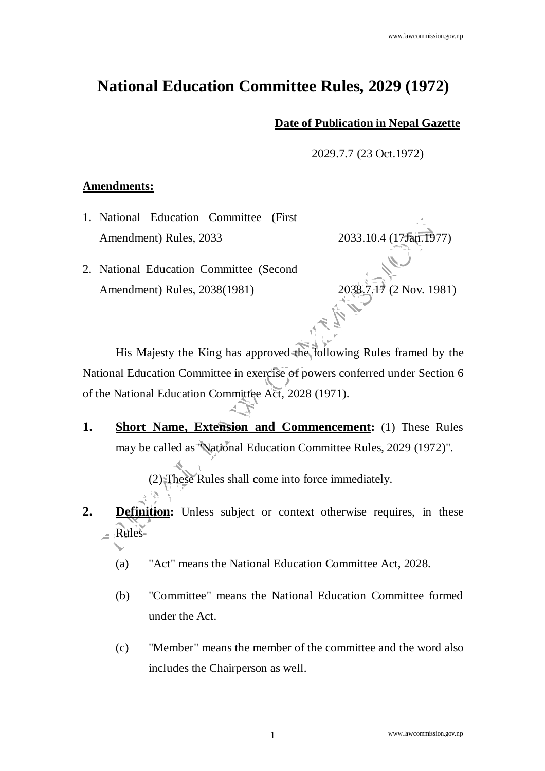## **National Education Committee Rules, 2029 (1972)**

## **Date of Publication in Nepal Gazette**

2029.7.7 (23 Oct.1972)

## **Amendments:**

1. National Education Committee (First Amendment) Rules, 2033 2033.10.4 (17Jan.1977)

2. National Education Committee (Second

Amendment) Rules, 2038(1981) 2038.7.17 (2 Nov. 1981)

 His Majesty the King has approved the following Rules framed by the National Education Committee in exercise of powers conferred under Section 6 of the National Education Committee Act, 2028 (1971).

**1. Short Name, Extension and Commencement:** (1) These Rules may be called as "National Education Committee Rules, 2029 (1972)".

(2) These Rules shall come into force immediately.

- **2. Definition:** Unless subject or context otherwise requires, in these Rules-
	- (a) "Act" means the National Education Committee Act, 2028.
	- (b) "Committee" means the National Education Committee formed under the Act.
	- (c) "Member" means the member of the committee and the word also includes the Chairperson as well.

www.lawcommission.gov.np 1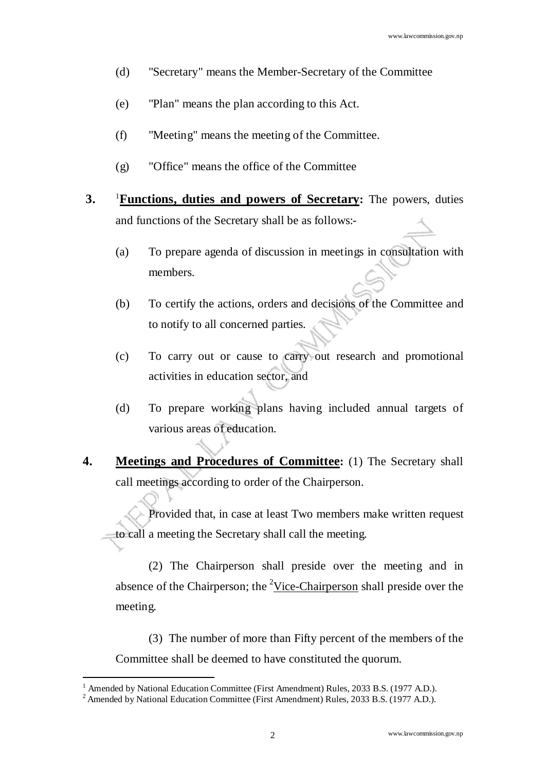- (d) "Secretary" means the Member-Secretary of the Committee
- (e) "Plan" means the plan according to this Act.
- (f) "Meeting" means the meeting of the Committee.
- (g) "Office" means the office of the Committee
- **3.** <sup>1</sup>**Functions, duties and powers of Secretary:** The powers, duties and functions of the Secretary shall be as follows:-
	- (a) To prepare agenda of discussion in meetings in consultation with members.
	- (b) To certify the actions, orders and decisions of the Committee and to notify to all concerned parties.
	- (c) To carry out or cause to carry out research and promotional activities in education sector, and
	- (d) To prepare working plans having included annual targets of various areas of education.
- **4. Meetings and Procedures of Committee:** (1) The Secretary shall call meetings according to order of the Chairperson.

 Provided that, in case at least Two members make written request to call a meeting the Secretary shall call the meeting.

(2) The Chairperson shall preside over the meeting and in absence of the Chairperson; the <sup>2</sup>Vice-Chairperson shall preside over the meeting.

(3) The number of more than Fifty percent of the members of the Committee shall be deemed to have constituted the quorum.

<sup>&</sup>lt;sup>1</sup> Amended by National Education Committee (First Amendment) Rules, 2033 B.S. (1977 A.D.).

<sup>&</sup>lt;sup>2</sup> Amended by National Education Committee (First Amendment) Rules, 2033 B.S. (1977 A.D.).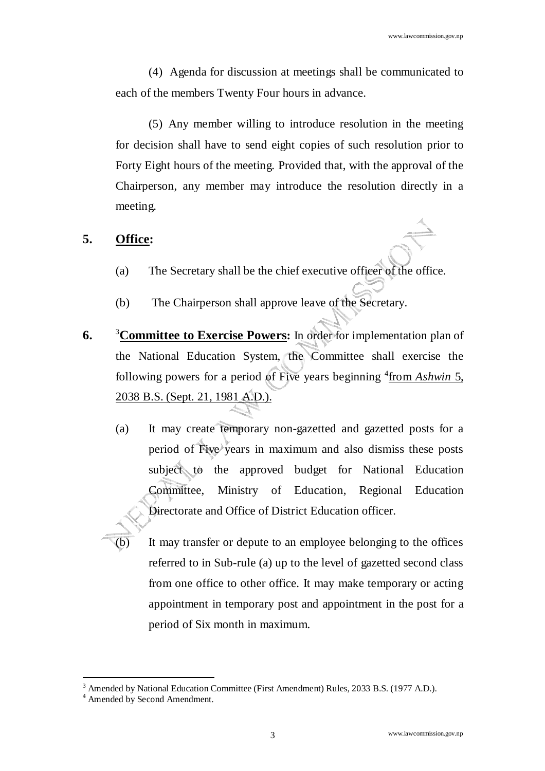(4) Agenda for discussion at meetings shall be communicated to each of the members Twenty Four hours in advance.

(5) Any member willing to introduce resolution in the meeting for decision shall have to send eight copies of such resolution prior to Forty Eight hours of the meeting. Provided that, with the approval of the Chairperson, any member may introduce the resolution directly in a meeting.

## **5. Office:**

- (a) The Secretary shall be the chief executive officer of the office.
- (b) The Chairperson shall approve leave of the Secretary.
- **6.** <sup>3</sup>**Committee to Exercise Powers:** In order for implementation plan of the National Education System, the Committee shall exercise the following powers for a period of Five years beginning <sup>4</sup> from *Ashwin* 5, 2038 B.S. (Sept. 21, 1981 A.D.).
	- (a) It may create temporary non-gazetted and gazetted posts for a period of Five years in maximum and also dismiss these posts subject to the approved budget for National Education Committee, Ministry of Education, Regional Education Directorate and Office of District Education officer.
		- It may transfer or depute to an employee belonging to the offices referred to in Sub-rule (a) up to the level of gazetted second class from one office to other office. It may make temporary or acting appointment in temporary post and appointment in the post for a period of Six month in maximum.

<sup>&</sup>lt;sup>3</sup> Amended by National Education Committee (First Amendment) Rules, 2033 B.S. (1977 A.D.).

<sup>4</sup> Amended by Second Amendment.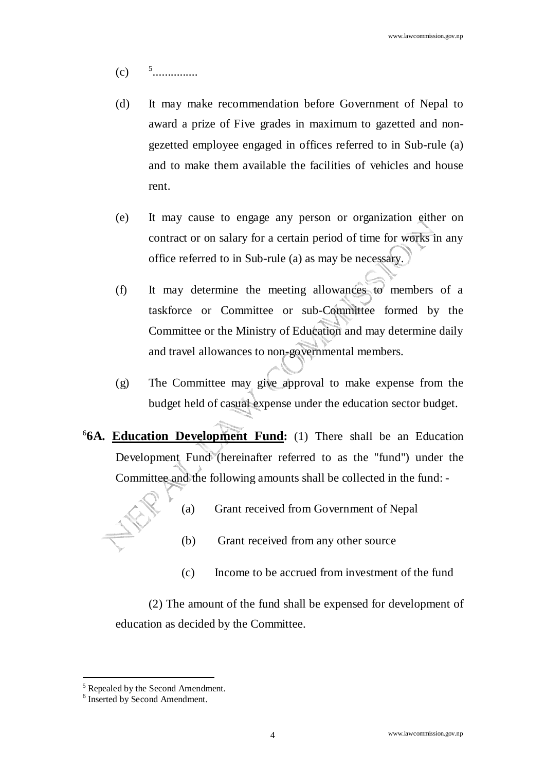- $(c)$ ...............
- (d) It may make recommendation before Government of Nepal to award a prize of Five grades in maximum to gazetted and nongezetted employee engaged in offices referred to in Sub-rule (a) and to make them available the facilities of vehicles and house rent.
- (e) It may cause to engage any person or organization either on contract or on salary for a certain period of time for works in any office referred to in Sub-rule (a) as may be necessary.
- (f) It may determine the meeting allowances to members of a taskforce or Committee or sub-Committee formed by the Committee or the Ministry of Education and may determine daily and travel allowances to non-governmental members.
- (g) The Committee may give approval to make expense from the budget held of casual expense under the education sector budget.
- 6 **6A. Education Development Fund:** (1) There shall be an Education Development Fund (hereinafter referred to as the "fund") under the Committee and the following amounts shall be collected in the fund: -



- (a) Grant received from Government of Nepal
- (b) Grant received from any other source
- (c) Income to be accrued from investment of the fund

(2) The amount of the fund shall be expensed for development of education as decided by the Committee.

<sup>&</sup>lt;sup>5</sup> Repealed by the Second Amendment.

<sup>6</sup> Inserted by Second Amendment.